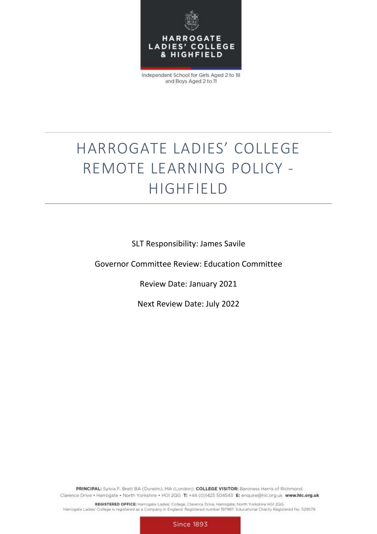

Independent School for Girls Aged 2 to 18 and Boys Aged 2 to 11

# HARROGATE LADIES' COLLEGE REMOTE LEARNING POLICY - HIGHFIELD

SLT Responsibility: James Savile

Governor Committee Review: Education Committee

Review Date: January 2021

Next Review Date: July 2022

PRINCIPAL: Sylvia F. Brett BA (Dunelm), MA (London). COLLEGE VISITOR: Baroness Harris of Richmond. Clarence Drive . Harrogate . North Yorkshire . HGI 2QG T: +44 (0)1423 504543 E: enquire@hlc.org.uk www.hlc.org.uk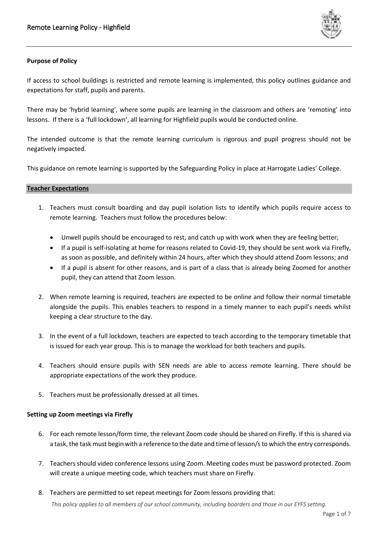

# **Purpose of Policy**

If access to school buildings is restricted and remote learning is implemented, this policy outlines guidance and expectations for staff, pupils and parents.

There may be 'hybrid learning', where some pupils are learning in the classroom and others are 'remoting' into lessons. If there is a 'full lockdown', all learning for Highfield pupils would be conducted online.

The intended outcome is that the remote learning curriculum is rigorous and pupil progress should not be negatively impacted.

This guidance on remote learning is supported by the Safeguarding Policy in place at Harrogate Ladies' College.

# **Teacher Expectations**

- 1. Teachers must consult boarding and day pupil isolation lists to identify which pupils require access to remote learning. Teachers must follow the procedures below:
	- Unwell pupils should be encouraged to rest, and catch up with work when they are feeling better;
	- If a pupil is self-isolating at home for reasons related to Covid-19, they should be sent work via Firefly, as soon as possible, and definitely within 24 hours, after which they should attend Zoom lessons; and
	- If a pupil is absent for other reasons, and is part of a class that is already being Zoomed for another pupil, they can attend that Zoom lesson.
- 2. When remote learning is required, teachers are expected to be online and follow their normal timetable alongside the pupils. This enables teachers to respond in a timely manner to each pupil's needs whilst keeping a clear structure to the day.
- 3. In the event of a full lockdown, teachers are expected to teach according to the temporary timetable that is issued for each year group. This is to manage the workload for both teachers and pupils.
- 4. Teachers should ensure pupils with SEN needs are able to access remote learning. There should be appropriate expectations of the work they produce.
- 5. Teachers must be professionally dressed at all times.

# **Setting up Zoom meetings via Firefly**

- 6. For each remote lesson/form time, the relevant Zoom code should be shared on Firefly. If this is shared via a task, the task must begin with a reference to the date and time of lesson/s to which the entry corresponds.
- 7. Teachers should video conference lessons using Zoom. Meeting codes must be password protected. Zoom will create a unique meeting code, which teachers must share on Firefly.
- 8. Teachers are permitted to set repeat meetings for Zoom lessons providing that:

*This policy applies to all members of our school community, including boarders and those in our EYFS setting.*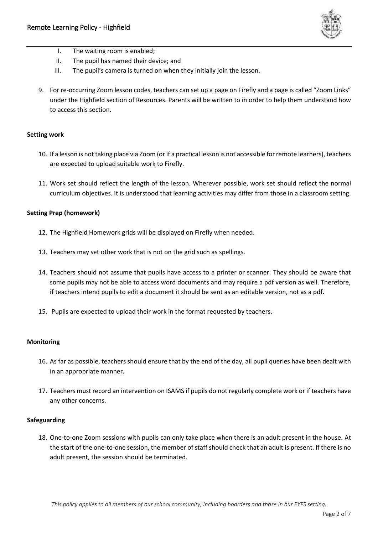

- I. The waiting room is enabled;
- II. The pupil has named their device; and
- III. The pupil's camera is turned on when they initially join the lesson.
- 9. For re-occurring Zoom lesson codes, teachers can set up a page on Firefly and a page is called "Zoom Links" under the Highfield section of Resources. Parents will be written to in order to help them understand how to access this section.

# **Setting work**

- 10. If a lesson is not taking place via Zoom (or if a practical lesson is not accessible for remote learners), teachers are expected to upload suitable work to Firefly.
- 11. Work set should reflect the length of the lesson. Wherever possible, work set should reflect the normal curriculum objectives. It is understood that learning activities may differ from those in a classroom setting.

# **Setting Prep (homework)**

- 12. The Highfield Homework grids will be displayed on Firefly when needed.
- 13. Teachers may set other work that is not on the grid such as spellings.
- 14. Teachers should not assume that pupils have access to a printer or scanner. They should be aware that some pupils may not be able to access word documents and may require a pdf version as well. Therefore, if teachers intend pupils to edit a document it should be sent as an editable version, not as a pdf.
- 15. Pupils are expected to upload their work in the format requested by teachers.

## **Monitoring**

- 16. As far as possible, teachers should ensure that by the end of the day, all pupil queries have been dealt with in an appropriate manner.
- 17. Teachers must record an intervention on ISAMS if pupils do not regularly complete work or if teachers have any other concerns.

## **Safeguarding**

18. One-to-one Zoom sessions with pupils can only take place when there is an adult present in the house. At the start of the one-to-one session, the member of staff should check that an adult is present. If there is no adult present, the session should be terminated.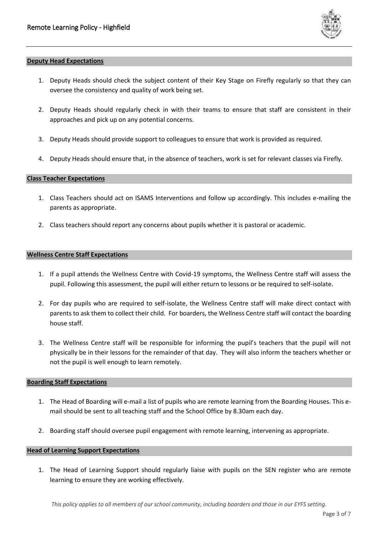

#### **Deputy Head Expectations**

- 1. Deputy Heads should check the subject content of their Key Stage on Firefly regularly so that they can oversee the consistency and quality of work being set.
- 2. Deputy Heads should regularly check in with their teams to ensure that staff are consistent in their approaches and pick up on any potential concerns.
- 3. Deputy Heads should provide support to colleagues to ensure that work is provided as required.
- 4. Deputy Heads should ensure that, in the absence of teachers, work is set for relevant classes via Firefly.

#### **Class Teacher Expectations**

- 1. Class Teachers should act on ISAMS Interventions and follow up accordingly. This includes e-mailing the parents as appropriate.
- 2. Class teachers should report any concerns about pupils whether it is pastoral or academic.

#### **Wellness Centre Staff Expectations**

- 1. If a pupil attends the Wellness Centre with Covid-19 symptoms, the Wellness Centre staff will assess the pupil. Following this assessment, the pupil will either return to lessons or be required to self-isolate.
- 2. For day pupils who are required to self-isolate, the Wellness Centre staff will make direct contact with parents to ask them to collect their child. For boarders, the Wellness Centre staff will contact the boarding house staff.
- 3. The Wellness Centre staff will be responsible for informing the pupil's teachers that the pupil will not physically be in their lessons for the remainder of that day. They will also inform the teachers whether or not the pupil is well enough to learn remotely.

## **Boarding Staff Expectations**

- 1. The Head of Boarding will e-mail a list of pupils who are remote learning from the Boarding Houses. This email should be sent to all teaching staff and the School Office by 8.30am each day.
- 2. Boarding staff should oversee pupil engagement with remote learning, intervening as appropriate.

# **Head of Learning Support Expectations**

1. The Head of Learning Support should regularly liaise with pupils on the SEN register who are remote learning to ensure they are working effectively.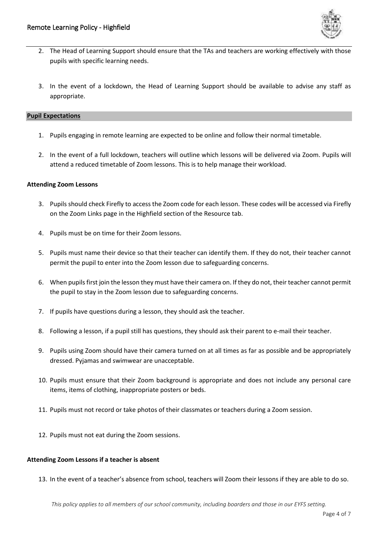

- 2. The Head of Learning Support should ensure that the TAs and teachers are working effectively with those pupils with specific learning needs.
- 3. In the event of a lockdown, the Head of Learning Support should be available to advise any staff as appropriate.

# **Pupil Expectations**

- 1. Pupils engaging in remote learning are expected to be online and follow their normal timetable.
- 2. In the event of a full lockdown, teachers will outline which lessons will be delivered via Zoom. Pupils will attend a reduced timetable of Zoom lessons. This is to help manage their workload.

# **Attending Zoom Lessons**

- 3. Pupils should check Firefly to access the Zoom code for each lesson. These codes will be accessed via Firefly on the Zoom Links page in the Highfield section of the Resource tab.
- 4. Pupils must be on time for their Zoom lessons.
- 5. Pupils must name their device so that their teacher can identify them. If they do not, their teacher cannot permit the pupil to enter into the Zoom lesson due to safeguarding concerns.
- 6. When pupils first join the lesson they must have their camera on. If they do not, their teacher cannot permit the pupil to stay in the Zoom lesson due to safeguarding concerns.
- 7. If pupils have questions during a lesson, they should ask the teacher.
- 8. Following a lesson, if a pupil still has questions, they should ask their parent to e-mail their teacher.
- 9. Pupils using Zoom should have their camera turned on at all times as far as possible and be appropriately dressed. Pyjamas and swimwear are unacceptable.
- 10. Pupils must ensure that their Zoom background is appropriate and does not include any personal care items, items of clothing, inappropriate posters or beds.
- 11. Pupils must not record or take photos of their classmates or teachers during a Zoom session.
- 12. Pupils must not eat during the Zoom sessions.

## **Attending Zoom Lessons if a teacher is absent**

13. In the event of a teacher's absence from school, teachers will Zoom their lessons if they are able to do so.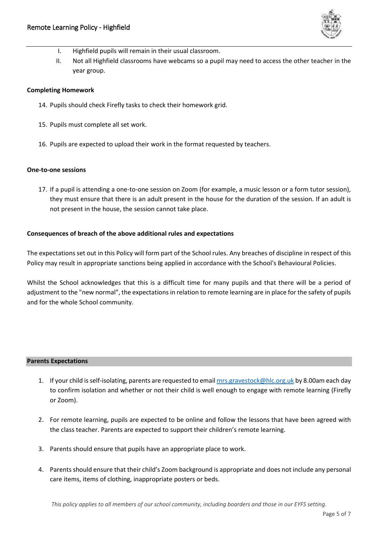

- I. Highfield pupils will remain in their usual classroom.
- II. Not all Highfield classrooms have webcams so a pupil may need to access the other teacher in the year group.

#### **Completing Homework**

- 14. Pupils should check Firefly tasks to check their homework grid.
- 15. Pupils must complete all set work.
- 16. Pupils are expected to upload their work in the format requested by teachers.

## **One-to-one sessions**

17. If a pupil is attending a one-to-one session on Zoom (for example, a music lesson or a form tutor session), they must ensure that there is an adult present in the house for the duration of the session. If an adult is not present in the house, the session cannot take place.

## **Consequences of breach of the above additional rules and expectations**

The expectations set out in this Policy will form part of the School rules. Any breaches of discipline in respect of this Policy may result in appropriate sanctions being applied in accordance with the School's Behavioural Policies.

Whilst the School acknowledges that this is a difficult time for many pupils and that there will be a period of adjustment to the "new normal", the expectations in relation to remote learning are in place for the safety of pupils and for the whole School community.

## **Parents Expectations**

- 1. If your child is self-isolating, parents are requested to emai[l mrs.gravestock@hlc.org.uk](mailto:mrs.gravestock@hlc.org.uk) by 8.00am each day to confirm isolation and whether or not their child is well enough to engage with remote learning (Firefly or Zoom).
- 2. For remote learning, pupils are expected to be online and follow the lessons that have been agreed with the class teacher. Parents are expected to support their children's remote learning.
- 3. Parents should ensure that pupils have an appropriate place to work.
- 4. Parents should ensure that their child's Zoom background is appropriate and does not include any personal care items, items of clothing, inappropriate posters or beds.